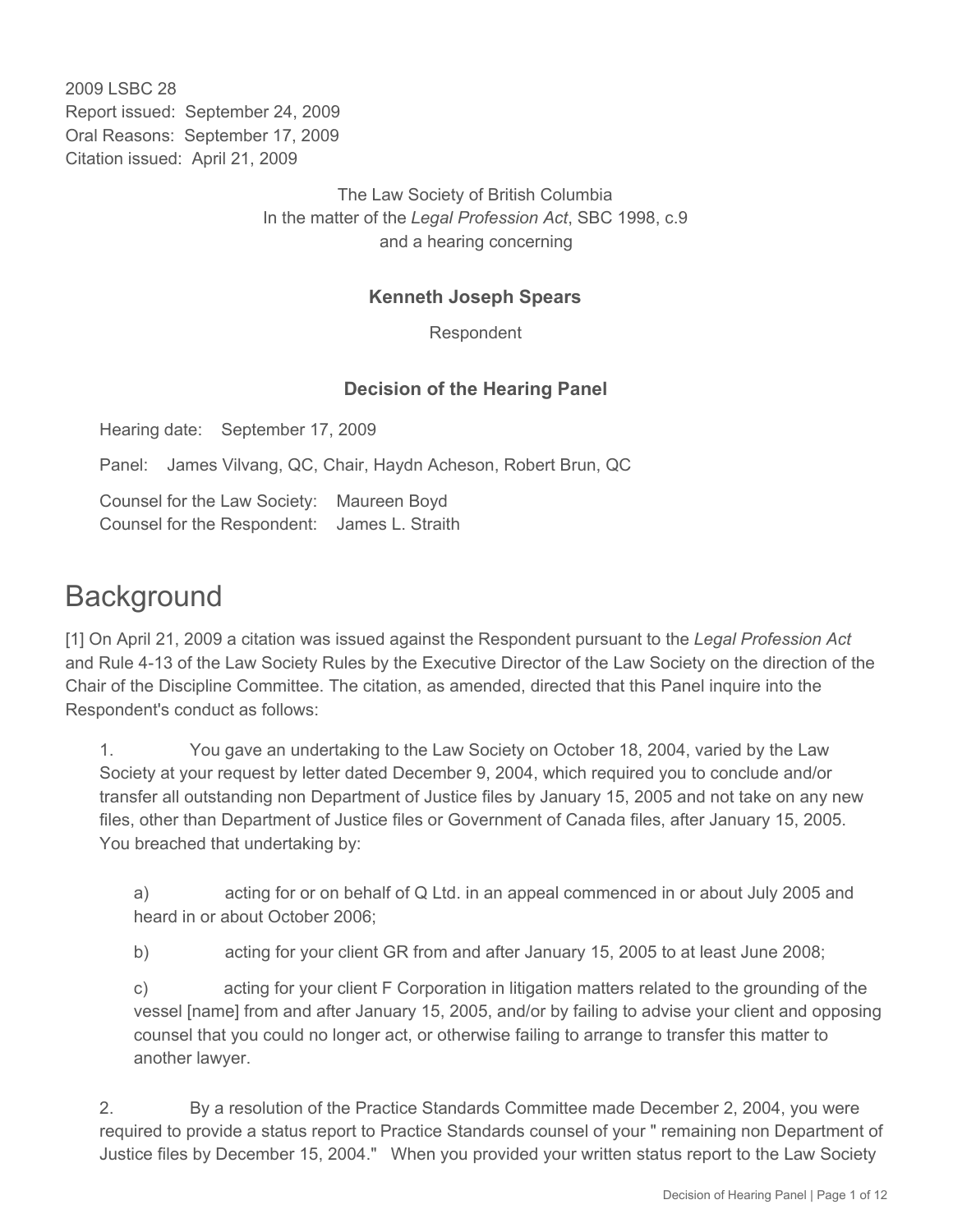2009 LSBC 28 Report issued: September 24, 2009 Oral Reasons: September 17, 2009 Citation issued: April 21, 2009

> The Law Society of British Columbia In the matter of the *Legal Profession Act*, SBC 1998, c.9 and a hearing concerning

### **Kenneth Joseph Spears**

Respondent

### **Decision of the Hearing Panel**

Hearing date: September 17, 2009

Panel: James Vilvang, QC, Chair, Haydn Acheson, Robert Brun, QC

Counsel for the Law Society: Maureen Boyd Counsel for the Respondent: James L. Straith

# **Background**

[1] On April 21, 2009 a citation was issued against the Respondent pursuant to the *Legal Profession Act* and Rule 4-13 of the Law Society Rules by the Executive Director of the Law Society on the direction of the Chair of the Discipline Committee. The citation, as amended, directed that this Panel inquire into the Respondent's conduct as follows:

1. You gave an undertaking to the Law Society on October 18, 2004, varied by the Law Society at your request by letter dated December 9, 2004, which required you to conclude and/or transfer all outstanding non Department of Justice files by January 15, 2005 and not take on any new files, other than Department of Justice files or Government of Canada files, after January 15, 2005. You breached that undertaking by:

a) acting for or on behalf of Q Ltd. in an appeal commenced in or about July 2005 and heard in or about October 2006;

b) acting for your client GR from and after January 15, 2005 to at least June 2008;

c) acting for your client F Corporation in litigation matters related to the grounding of the vessel [name] from and after January 15, 2005, and/or by failing to advise your client and opposing counsel that you could no longer act, or otherwise failing to arrange to transfer this matter to another lawyer.

2. By a resolution of the Practice Standards Committee made December 2, 2004, you were required to provide a status report to Practice Standards counsel of your " remaining non Department of Justice files by December 15, 2004." When you provided your written status report to the Law Society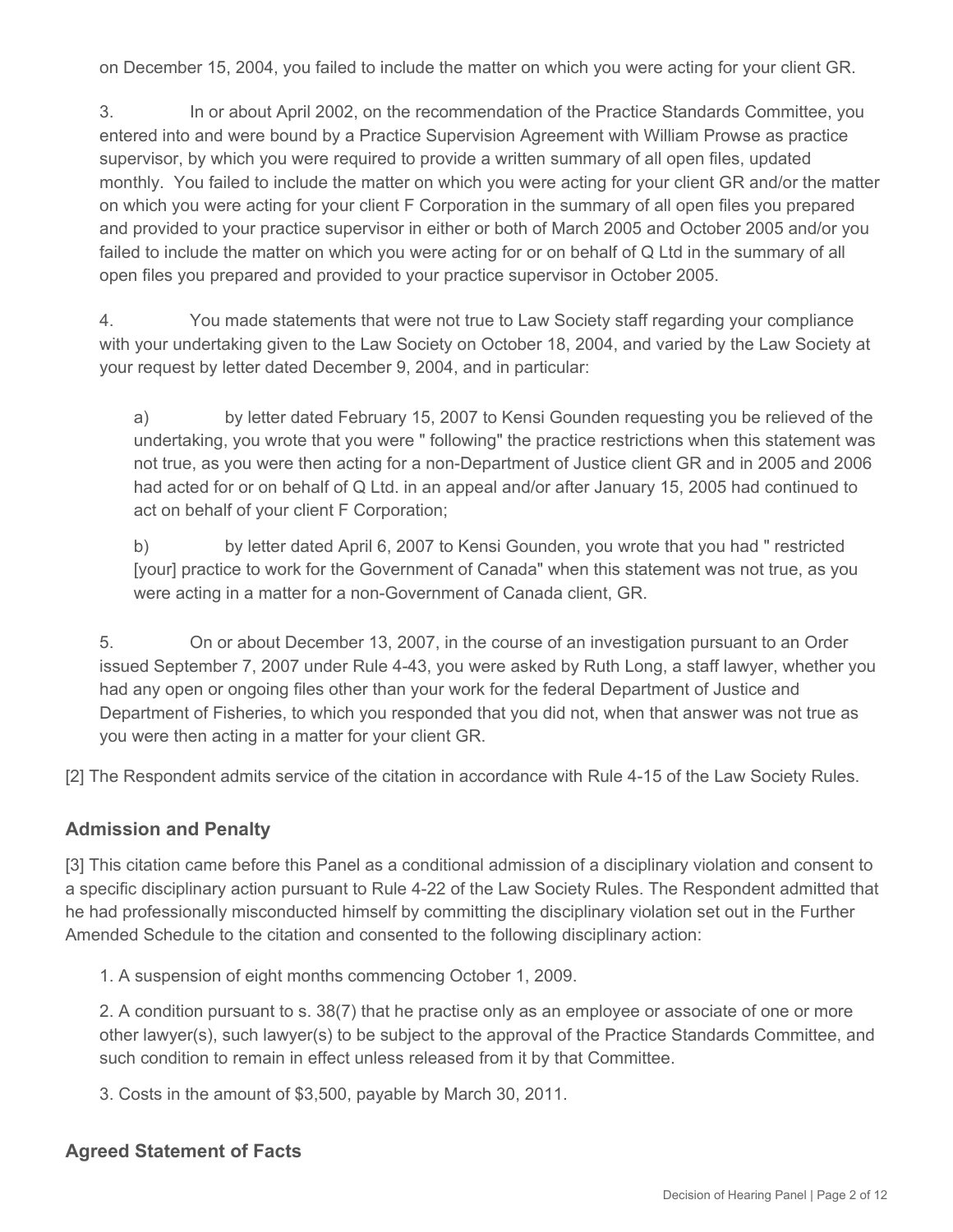on December 15, 2004, you failed to include the matter on which you were acting for your client GR.

3. In or about April 2002, on the recommendation of the Practice Standards Committee, you entered into and were bound by a Practice Supervision Agreement with William Prowse as practice supervisor, by which you were required to provide a written summary of all open files, updated monthly. You failed to include the matter on which you were acting for your client GR and/or the matter on which you were acting for your client F Corporation in the summary of all open files you prepared and provided to your practice supervisor in either or both of March 2005 and October 2005 and/or you failed to include the matter on which you were acting for or on behalf of Q Ltd in the summary of all open files you prepared and provided to your practice supervisor in October 2005.

4. You made statements that were not true to Law Society staff regarding your compliance with your undertaking given to the Law Society on October 18, 2004, and varied by the Law Society at your request by letter dated December 9, 2004, and in particular:

a) by letter dated February 15, 2007 to Kensi Gounden requesting you be relieved of the undertaking, you wrote that you were " following" the practice restrictions when this statement was not true, as you were then acting for a non-Department of Justice client GR and in 2005 and 2006 had acted for or on behalf of Q Ltd. in an appeal and/or after January 15, 2005 had continued to act on behalf of your client F Corporation;

b) by letter dated April 6, 2007 to Kensi Gounden, you wrote that you had " restricted [your] practice to work for the Government of Canada" when this statement was not true, as you were acting in a matter for a non-Government of Canada client, GR.

5. On or about December 13, 2007, in the course of an investigation pursuant to an Order issued September 7, 2007 under Rule 4-43, you were asked by Ruth Long, a staff lawyer, whether you had any open or ongoing files other than your work for the federal Department of Justice and Department of Fisheries, to which you responded that you did not, when that answer was not true as you were then acting in a matter for your client GR.

[2] The Respondent admits service of the citation in accordance with Rule 4-15 of the Law Society Rules.

#### **Admission and Penalty**

[3] This citation came before this Panel as a conditional admission of a disciplinary violation and consent to a specific disciplinary action pursuant to Rule 4-22 of the Law Society Rules. The Respondent admitted that he had professionally misconducted himself by committing the disciplinary violation set out in the Further Amended Schedule to the citation and consented to the following disciplinary action:

1. A suspension of eight months commencing October 1, 2009.

2. A condition pursuant to s. 38(7) that he practise only as an employee or associate of one or more other lawyer(s), such lawyer(s) to be subject to the approval of the Practice Standards Committee, and such condition to remain in effect unless released from it by that Committee.

3. Costs in the amount of \$3,500, payable by March 30, 2011.

#### **Agreed Statement of Facts**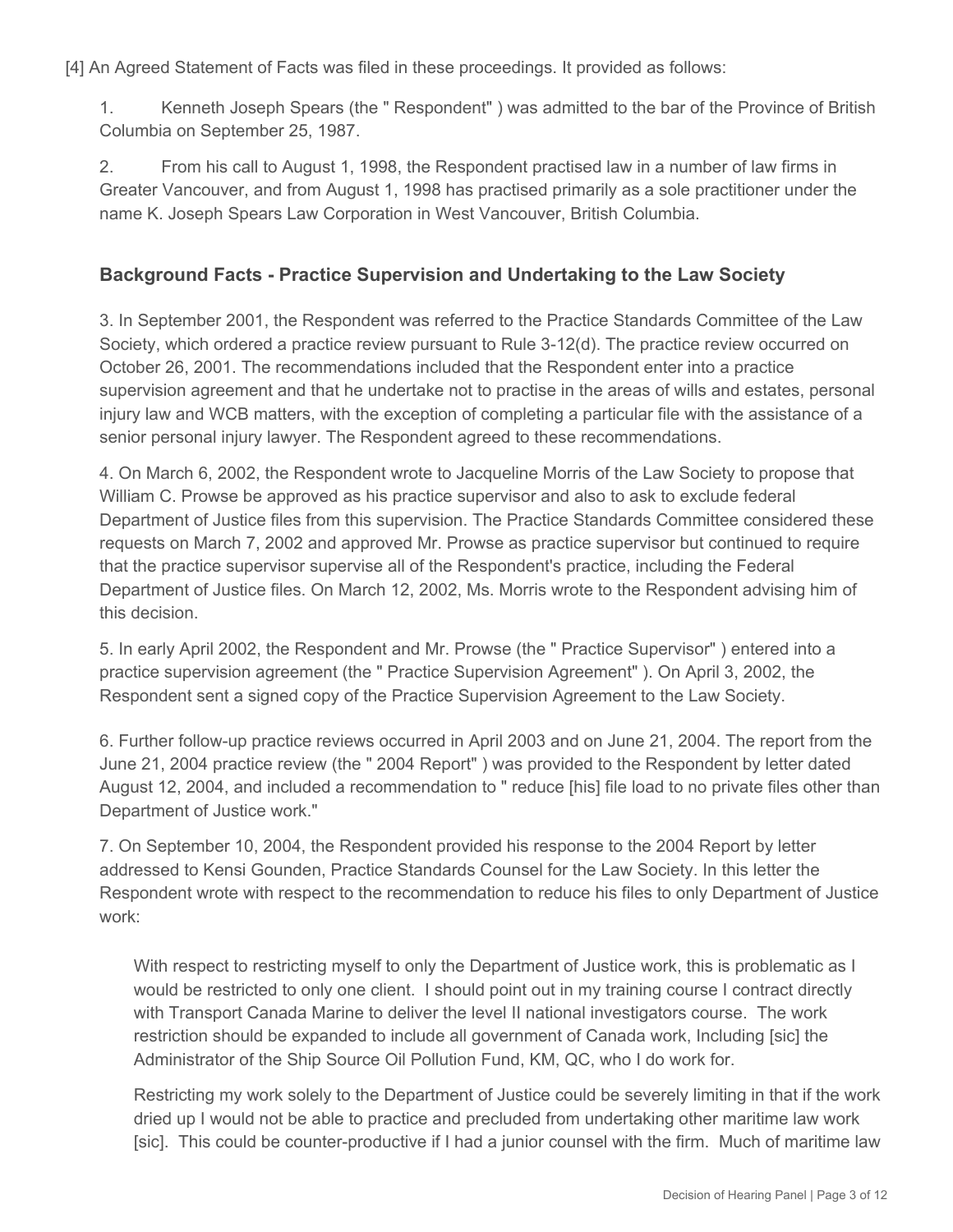[4] An Agreed Statement of Facts was filed in these proceedings. It provided as follows:

1. Kenneth Joseph Spears (the " Respondent" ) was admitted to the bar of the Province of British Columbia on September 25, 1987.

2. From his call to August 1, 1998, the Respondent practised law in a number of law firms in Greater Vancouver, and from August 1, 1998 has practised primarily as a sole practitioner under the name K. Joseph Spears Law Corporation in West Vancouver, British Columbia.

## **Background Facts - Practice Supervision and Undertaking to the Law Society**

3. In September 2001, the Respondent was referred to the Practice Standards Committee of the Law Society, which ordered a practice review pursuant to Rule 3-12(d). The practice review occurred on October 26, 2001. The recommendations included that the Respondent enter into a practice supervision agreement and that he undertake not to practise in the areas of wills and estates, personal injury law and WCB matters, with the exception of completing a particular file with the assistance of a senior personal injury lawyer. The Respondent agreed to these recommendations.

4. On March 6, 2002, the Respondent wrote to Jacqueline Morris of the Law Society to propose that William C. Prowse be approved as his practice supervisor and also to ask to exclude federal Department of Justice files from this supervision. The Practice Standards Committee considered these requests on March 7, 2002 and approved Mr. Prowse as practice supervisor but continued to require that the practice supervisor supervise all of the Respondent's practice, including the Federal Department of Justice files. On March 12, 2002, Ms. Morris wrote to the Respondent advising him of this decision.

5. In early April 2002, the Respondent and Mr. Prowse (the " Practice Supervisor" ) entered into a practice supervision agreement (the " Practice Supervision Agreement" ). On April 3, 2002, the Respondent sent a signed copy of the Practice Supervision Agreement to the Law Society.

6. Further follow-up practice reviews occurred in April 2003 and on June 21, 2004. The report from the June 21, 2004 practice review (the " 2004 Report" ) was provided to the Respondent by letter dated August 12, 2004, and included a recommendation to " reduce [his] file load to no private files other than Department of Justice work."

7. On September 10, 2004, the Respondent provided his response to the 2004 Report by letter addressed to Kensi Gounden, Practice Standards Counsel for the Law Society. In this letter the Respondent wrote with respect to the recommendation to reduce his files to only Department of Justice work:

With respect to restricting myself to only the Department of Justice work, this is problematic as I would be restricted to only one client. I should point out in my training course I contract directly with Transport Canada Marine to deliver the level II national investigators course. The work restriction should be expanded to include all government of Canada work, Including [sic] the Administrator of the Ship Source Oil Pollution Fund, KM, QC, who I do work for.

Restricting my work solely to the Department of Justice could be severely limiting in that if the work dried up I would not be able to practice and precluded from undertaking other maritime law work [sic]. This could be counter-productive if I had a junior counsel with the firm. Much of maritime law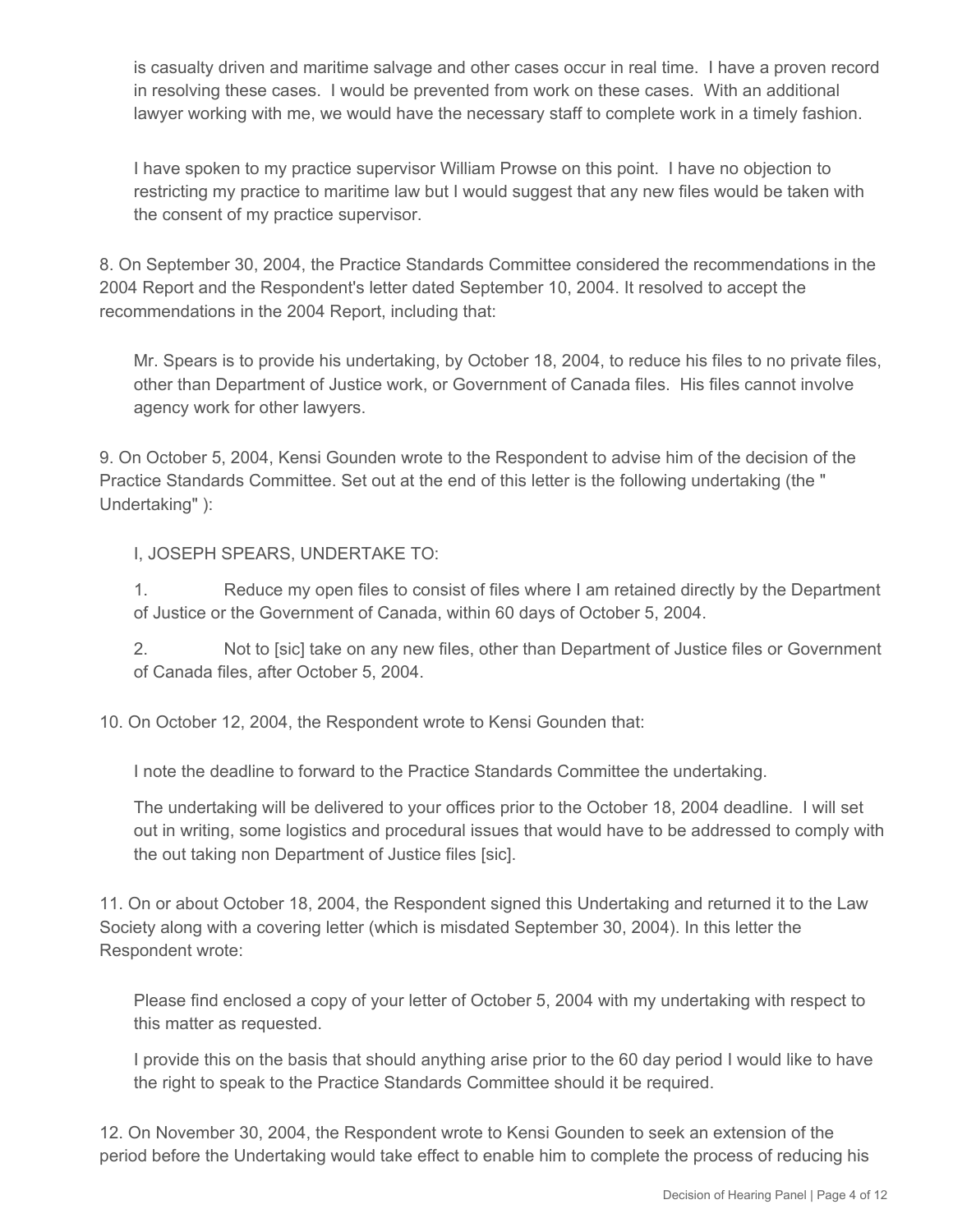is casualty driven and maritime salvage and other cases occur in real time. I have a proven record in resolving these cases. I would be prevented from work on these cases. With an additional lawyer working with me, we would have the necessary staff to complete work in a timely fashion.

I have spoken to my practice supervisor William Prowse on this point. I have no objection to restricting my practice to maritime law but I would suggest that any new files would be taken with the consent of my practice supervisor.

8. On September 30, 2004, the Practice Standards Committee considered the recommendations in the 2004 Report and the Respondent's letter dated September 10, 2004. It resolved to accept the recommendations in the 2004 Report, including that:

Mr. Spears is to provide his undertaking, by October 18, 2004, to reduce his files to no private files, other than Department of Justice work, or Government of Canada files. His files cannot involve agency work for other lawyers.

9. On October 5, 2004, Kensi Gounden wrote to the Respondent to advise him of the decision of the Practice Standards Committee. Set out at the end of this letter is the following undertaking (the " Undertaking" ):

### I, JOSEPH SPEARS, UNDERTAKE TO:

1. Reduce my open files to consist of files where I am retained directly by the Department of Justice or the Government of Canada, within 60 days of October 5, 2004.

2. Not to [sic] take on any new files, other than Department of Justice files or Government of Canada files, after October 5, 2004.

10. On October 12, 2004, the Respondent wrote to Kensi Gounden that:

I note the deadline to forward to the Practice Standards Committee the undertaking.

The undertaking will be delivered to your offices prior to the October 18, 2004 deadline. I will set out in writing, some logistics and procedural issues that would have to be addressed to comply with the out taking non Department of Justice files [sic].

11. On or about October 18, 2004, the Respondent signed this Undertaking and returned it to the Law Society along with a covering letter (which is misdated September 30, 2004). In this letter the Respondent wrote:

Please find enclosed a copy of your letter of October 5, 2004 with my undertaking with respect to this matter as requested.

I provide this on the basis that should anything arise prior to the 60 day period I would like to have the right to speak to the Practice Standards Committee should it be required.

12. On November 30, 2004, the Respondent wrote to Kensi Gounden to seek an extension of the period before the Undertaking would take effect to enable him to complete the process of reducing his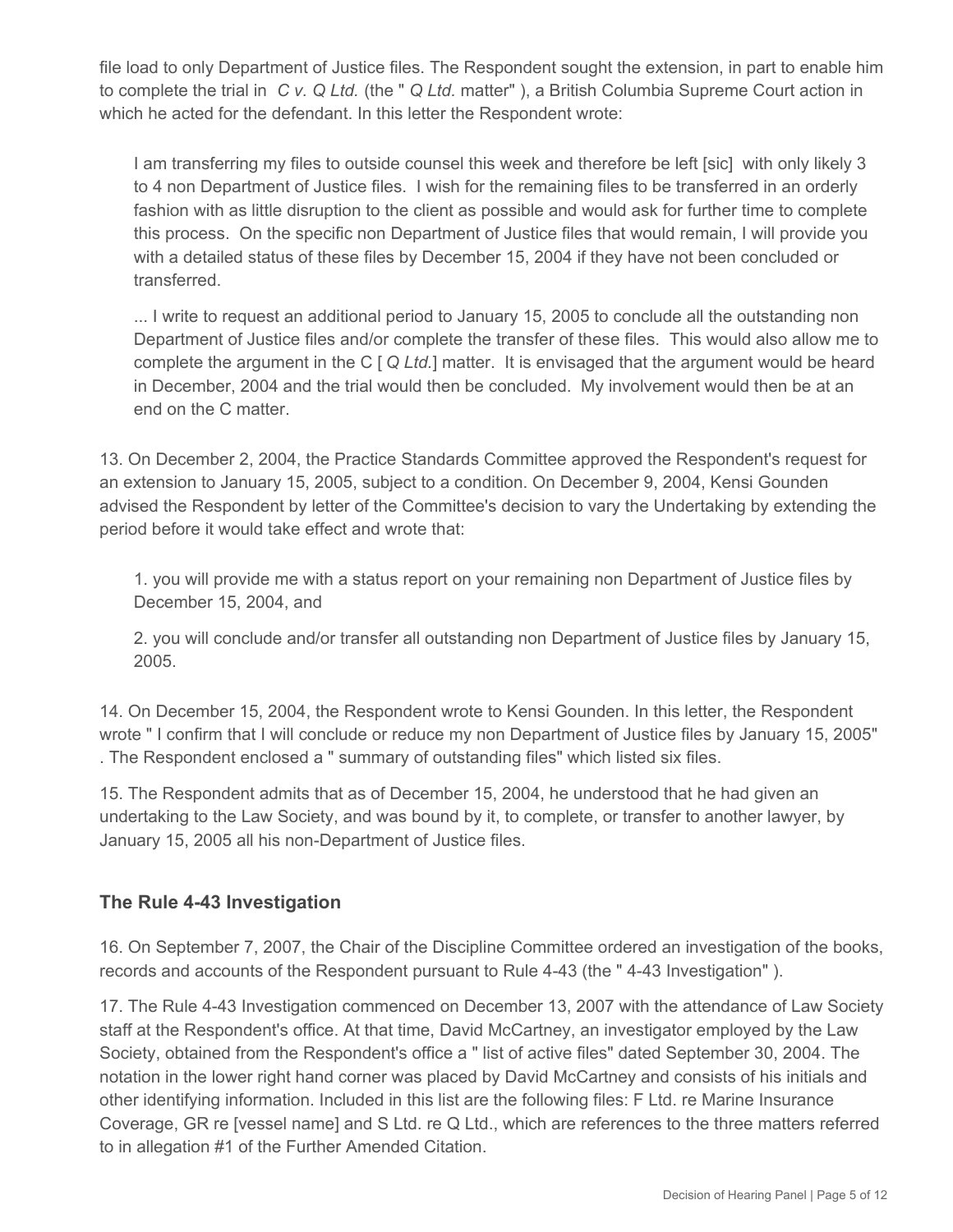file load to only Department of Justice files. The Respondent sought the extension, in part to enable him to complete the trial in *C v. Q Ltd.* (the " *Q Ltd.* matter" ), a British Columbia Supreme Court action in which he acted for the defendant. In this letter the Respondent wrote:

I am transferring my files to outside counsel this week and therefore be left [sic] with only likely 3 to 4 non Department of Justice files. I wish for the remaining files to be transferred in an orderly fashion with as little disruption to the client as possible and would ask for further time to complete this process. On the specific non Department of Justice files that would remain, I will provide you with a detailed status of these files by December 15, 2004 if they have not been concluded or transferred.

... I write to request an additional period to January 15, 2005 to conclude all the outstanding non Department of Justice files and/or complete the transfer of these files. This would also allow me to complete the argument in the C [ *Q Ltd.*] matter. It is envisaged that the argument would be heard in December, 2004 and the trial would then be concluded. My involvement would then be at an end on the C matter.

13. On December 2, 2004, the Practice Standards Committee approved the Respondent's request for an extension to January 15, 2005, subject to a condition. On December 9, 2004, Kensi Gounden advised the Respondent by letter of the Committee's decision to vary the Undertaking by extending the period before it would take effect and wrote that:

1. you will provide me with a status report on your remaining non Department of Justice files by December 15, 2004, and

2. you will conclude and/or transfer all outstanding non Department of Justice files by January 15, 2005.

14. On December 15, 2004, the Respondent wrote to Kensi Gounden. In this letter, the Respondent wrote " I confirm that I will conclude or reduce my non Department of Justice files by January 15, 2005" . The Respondent enclosed a " summary of outstanding files" which listed six files.

15. The Respondent admits that as of December 15, 2004, he understood that he had given an undertaking to the Law Society, and was bound by it, to complete, or transfer to another lawyer, by January 15, 2005 all his non-Department of Justice files.

## **The Rule 4-43 Investigation**

16. On September 7, 2007, the Chair of the Discipline Committee ordered an investigation of the books, records and accounts of the Respondent pursuant to Rule 4-43 (the " 4-43 Investigation" ).

17. The Rule 4-43 Investigation commenced on December 13, 2007 with the attendance of Law Society staff at the Respondent's office. At that time, David McCartney, an investigator employed by the Law Society, obtained from the Respondent's office a " list of active files" dated September 30, 2004. The notation in the lower right hand corner was placed by David McCartney and consists of his initials and other identifying information. Included in this list are the following files: F Ltd. re Marine Insurance Coverage, GR re [vessel name] and S Ltd. re Q Ltd., which are references to the three matters referred to in allegation #1 of the Further Amended Citation.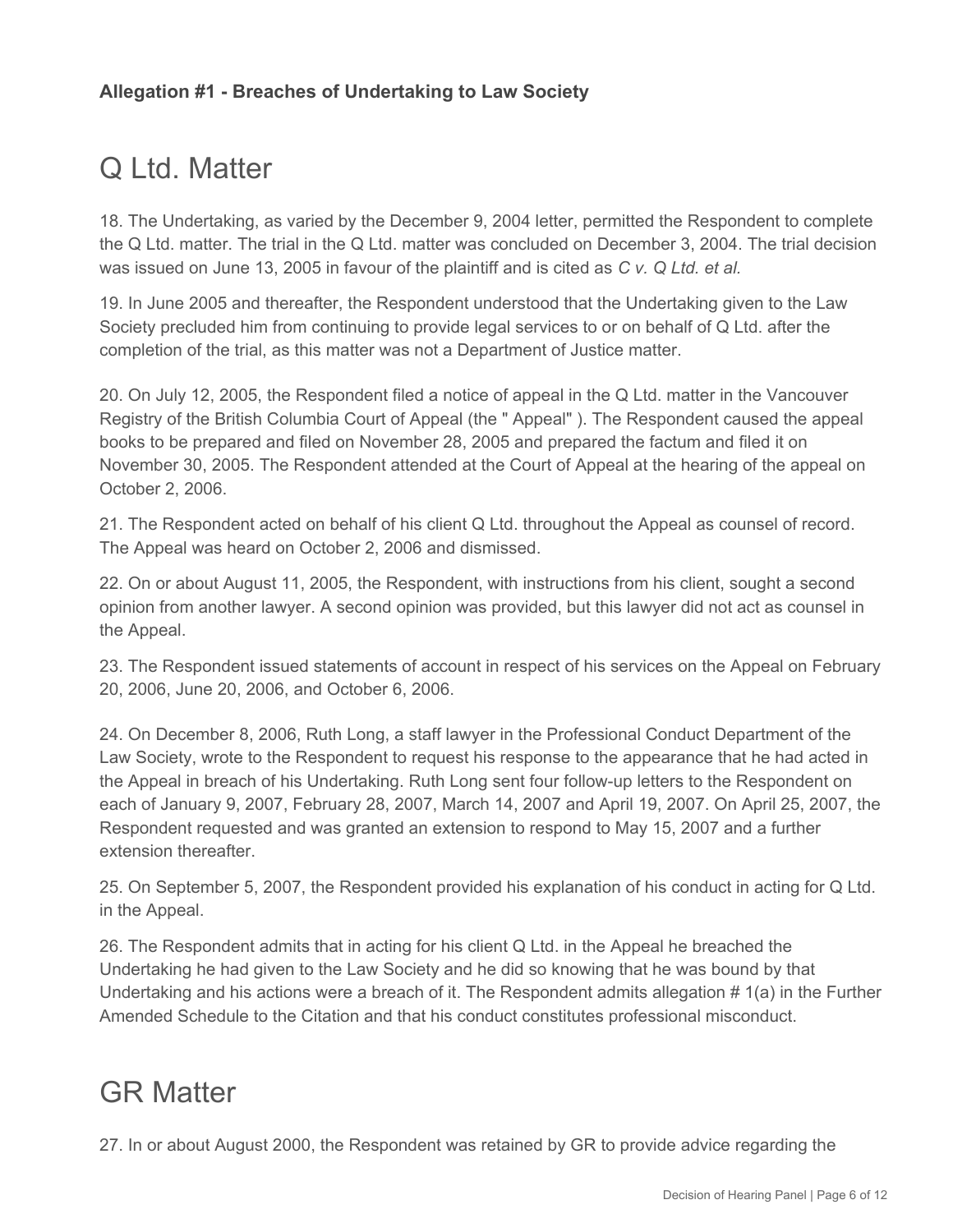# Q Ltd. Matter

18. The Undertaking, as varied by the December 9, 2004 letter, permitted the Respondent to complete the Q Ltd. matter. The trial in the Q Ltd. matter was concluded on December 3, 2004. The trial decision was issued on June 13, 2005 in favour of the plaintiff and is cited as *C v. Q Ltd. et al.*

19. In June 2005 and thereafter, the Respondent understood that the Undertaking given to the Law Society precluded him from continuing to provide legal services to or on behalf of Q Ltd. after the completion of the trial, as this matter was not a Department of Justice matter.

20. On July 12, 2005, the Respondent filed a notice of appeal in the Q Ltd. matter in the Vancouver Registry of the British Columbia Court of Appeal (the " Appeal" ). The Respondent caused the appeal books to be prepared and filed on November 28, 2005 and prepared the factum and filed it on November 30, 2005. The Respondent attended at the Court of Appeal at the hearing of the appeal on October 2, 2006.

21. The Respondent acted on behalf of his client Q Ltd. throughout the Appeal as counsel of record. The Appeal was heard on October 2, 2006 and dismissed.

22. On or about August 11, 2005, the Respondent, with instructions from his client, sought a second opinion from another lawyer. A second opinion was provided, but this lawyer did not act as counsel in the Appeal.

23. The Respondent issued statements of account in respect of his services on the Appeal on February 20, 2006, June 20, 2006, and October 6, 2006.

24. On December 8, 2006, Ruth Long, a staff lawyer in the Professional Conduct Department of the Law Society, wrote to the Respondent to request his response to the appearance that he had acted in the Appeal in breach of his Undertaking. Ruth Long sent four follow-up letters to the Respondent on each of January 9, 2007, February 28, 2007, March 14, 2007 and April 19, 2007. On April 25, 2007, the Respondent requested and was granted an extension to respond to May 15, 2007 and a further extension thereafter.

25. On September 5, 2007, the Respondent provided his explanation of his conduct in acting for Q Ltd. in the Appeal.

26. The Respondent admits that in acting for his client Q Ltd. in the Appeal he breached the Undertaking he had given to the Law Society and he did so knowing that he was bound by that Undertaking and his actions were a breach of it. The Respondent admits allegation # 1(a) in the Further Amended Schedule to the Citation and that his conduct constitutes professional misconduct.

# GR Matter

27. In or about August 2000, the Respondent was retained by GR to provide advice regarding the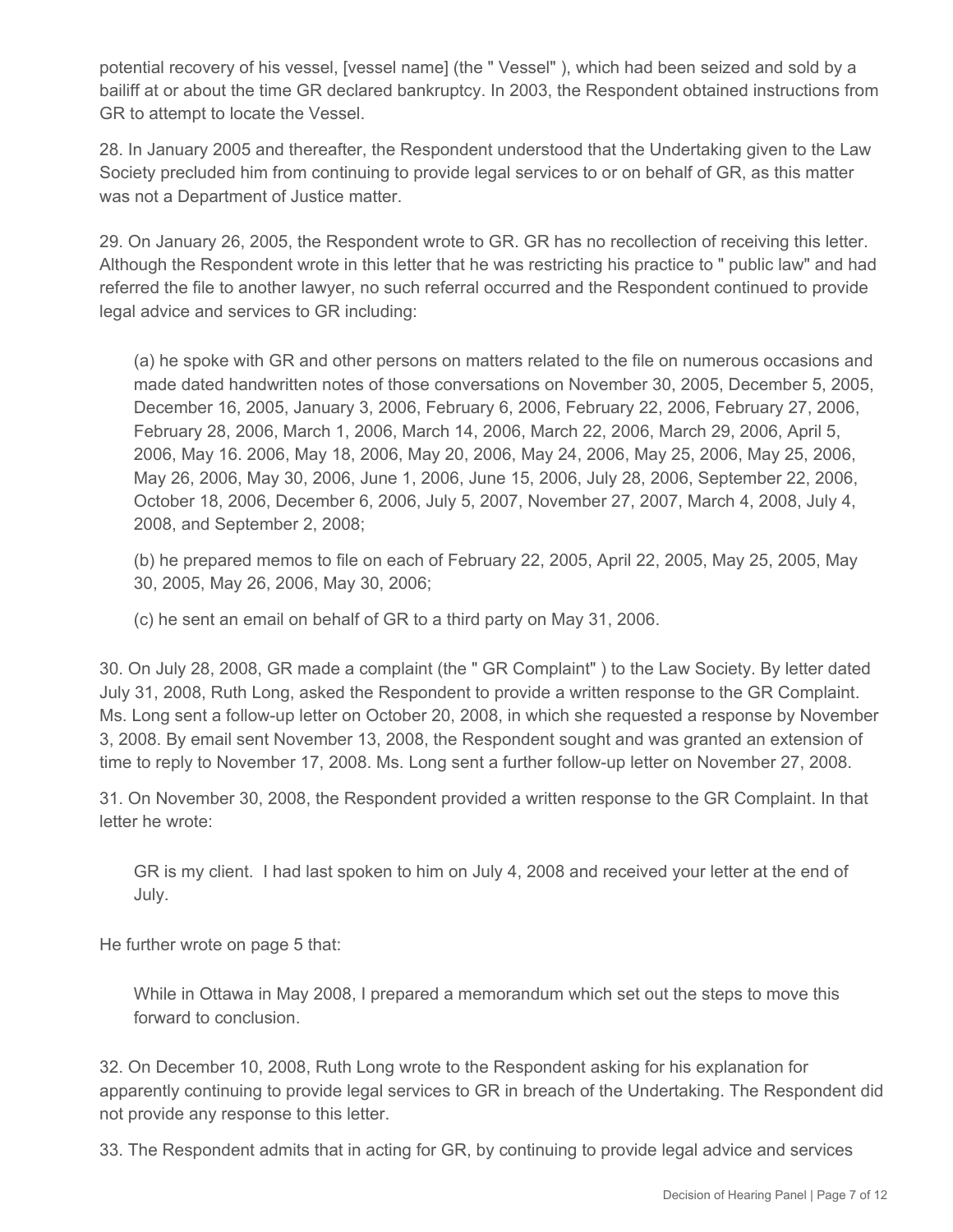potential recovery of his vessel, [vessel name] (the " Vessel" ), which had been seized and sold by a bailiff at or about the time GR declared bankruptcy. In 2003, the Respondent obtained instructions from GR to attempt to locate the Vessel.

28. In January 2005 and thereafter, the Respondent understood that the Undertaking given to the Law Society precluded him from continuing to provide legal services to or on behalf of GR, as this matter was not a Department of Justice matter.

29. On January 26, 2005, the Respondent wrote to GR. GR has no recollection of receiving this letter. Although the Respondent wrote in this letter that he was restricting his practice to " public law" and had referred the file to another lawyer, no such referral occurred and the Respondent continued to provide legal advice and services to GR including:

(a) he spoke with GR and other persons on matters related to the file on numerous occasions and made dated handwritten notes of those conversations on November 30, 2005, December 5, 2005, December 16, 2005, January 3, 2006, February 6, 2006, February 22, 2006, February 27, 2006, February 28, 2006, March 1, 2006, March 14, 2006, March 22, 2006, March 29, 2006, April 5, 2006, May 16. 2006, May 18, 2006, May 20, 2006, May 24, 2006, May 25, 2006, May 25, 2006, May 26, 2006, May 30, 2006, June 1, 2006, June 15, 2006, July 28, 2006, September 22, 2006, October 18, 2006, December 6, 2006, July 5, 2007, November 27, 2007, March 4, 2008, July 4, 2008, and September 2, 2008;

(b) he prepared memos to file on each of February 22, 2005, April 22, 2005, May 25, 2005, May 30, 2005, May 26, 2006, May 30, 2006;

(c) he sent an email on behalf of GR to a third party on May 31, 2006.

30. On July 28, 2008, GR made a complaint (the " GR Complaint" ) to the Law Society. By letter dated July 31, 2008, Ruth Long, asked the Respondent to provide a written response to the GR Complaint. Ms. Long sent a follow-up letter on October 20, 2008, in which she requested a response by November 3, 2008. By email sent November 13, 2008, the Respondent sought and was granted an extension of time to reply to November 17, 2008. Ms. Long sent a further follow-up letter on November 27, 2008.

31. On November 30, 2008, the Respondent provided a written response to the GR Complaint. In that letter he wrote:

GR is my client. I had last spoken to him on July 4, 2008 and received your letter at the end of July.

He further wrote on page 5 that:

While in Ottawa in May 2008, I prepared a memorandum which set out the steps to move this forward to conclusion.

32. On December 10, 2008, Ruth Long wrote to the Respondent asking for his explanation for apparently continuing to provide legal services to GR in breach of the Undertaking. The Respondent did not provide any response to this letter.

33. The Respondent admits that in acting for GR, by continuing to provide legal advice and services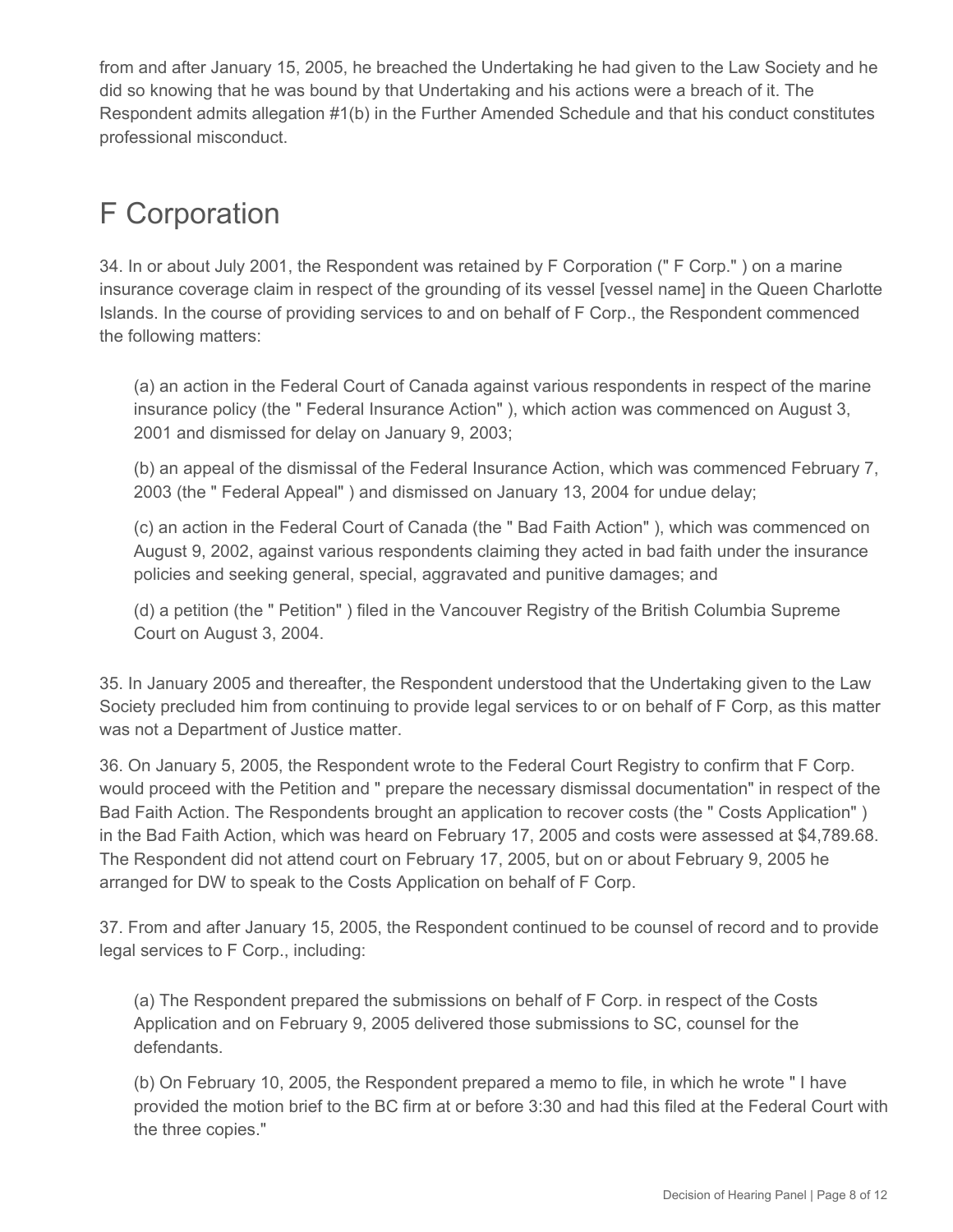from and after January 15, 2005, he breached the Undertaking he had given to the Law Society and he did so knowing that he was bound by that Undertaking and his actions were a breach of it. The Respondent admits allegation #1(b) in the Further Amended Schedule and that his conduct constitutes professional misconduct.

# F Corporation

34. In or about July 2001, the Respondent was retained by F Corporation (" F Corp." ) on a marine insurance coverage claim in respect of the grounding of its vessel [vessel name] in the Queen Charlotte Islands. In the course of providing services to and on behalf of F Corp., the Respondent commenced the following matters:

(a) an action in the Federal Court of Canada against various respondents in respect of the marine insurance policy (the " Federal Insurance Action" ), which action was commenced on August 3, 2001 and dismissed for delay on January 9, 2003;

(b) an appeal of the dismissal of the Federal Insurance Action, which was commenced February 7, 2003 (the " Federal Appeal" ) and dismissed on January 13, 2004 for undue delay;

(c) an action in the Federal Court of Canada (the " Bad Faith Action" ), which was commenced on August 9, 2002, against various respondents claiming they acted in bad faith under the insurance policies and seeking general, special, aggravated and punitive damages; and

(d) a petition (the " Petition" ) filed in the Vancouver Registry of the British Columbia Supreme Court on August 3, 2004.

35. In January 2005 and thereafter, the Respondent understood that the Undertaking given to the Law Society precluded him from continuing to provide legal services to or on behalf of F Corp, as this matter was not a Department of Justice matter.

36. On January 5, 2005, the Respondent wrote to the Federal Court Registry to confirm that F Corp. would proceed with the Petition and " prepare the necessary dismissal documentation" in respect of the Bad Faith Action. The Respondents brought an application to recover costs (the " Costs Application" ) in the Bad Faith Action, which was heard on February 17, 2005 and costs were assessed at \$4,789.68. The Respondent did not attend court on February 17, 2005, but on or about February 9, 2005 he arranged for DW to speak to the Costs Application on behalf of F Corp.

37. From and after January 15, 2005, the Respondent continued to be counsel of record and to provide legal services to F Corp., including:

(a) The Respondent prepared the submissions on behalf of F Corp. in respect of the Costs Application and on February 9, 2005 delivered those submissions to SC, counsel for the defendants.

(b) On February 10, 2005, the Respondent prepared a memo to file, in which he wrote " I have provided the motion brief to the BC firm at or before 3:30 and had this filed at the Federal Court with the three copies."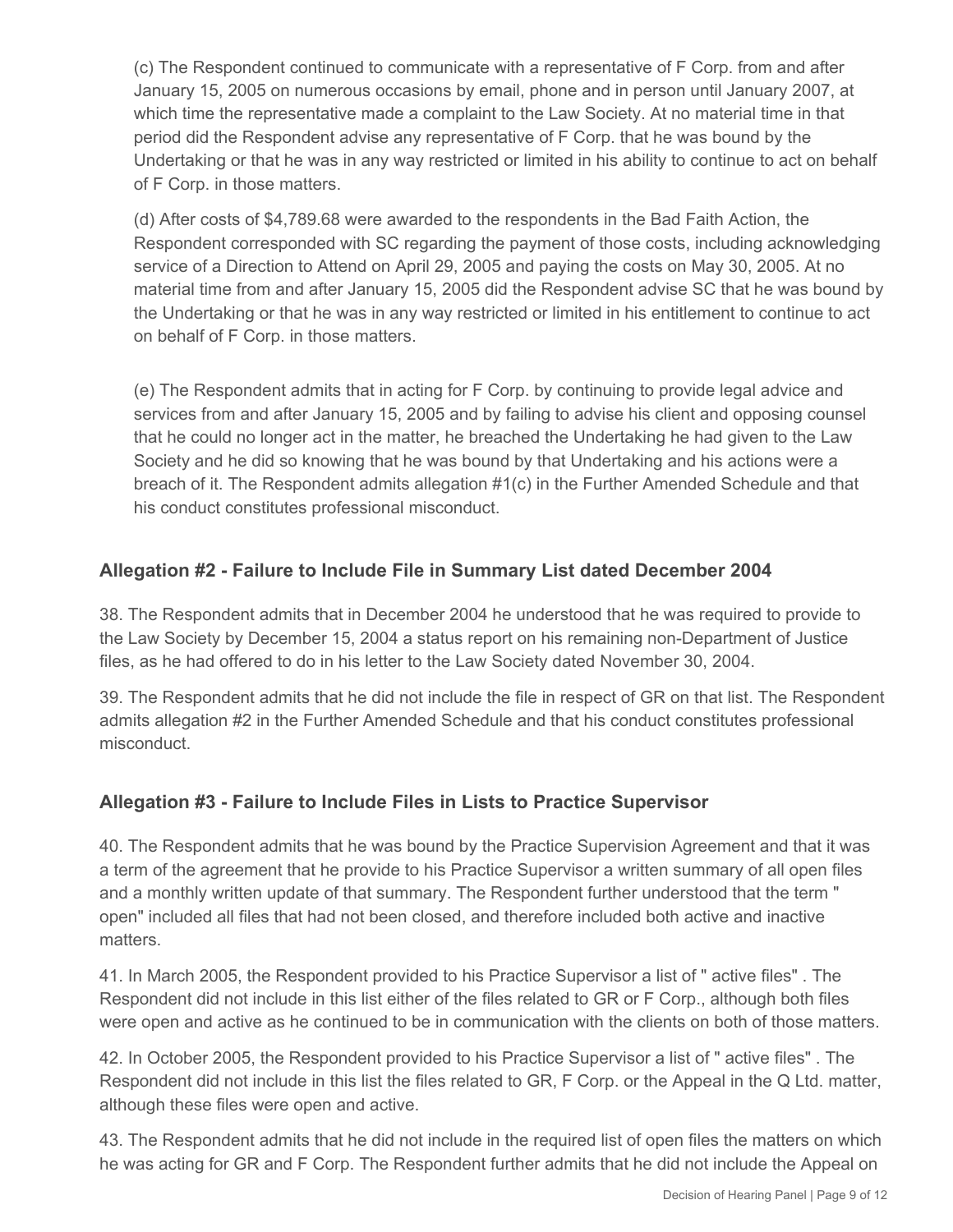(c) The Respondent continued to communicate with a representative of F Corp. from and after January 15, 2005 on numerous occasions by email, phone and in person until January 2007, at which time the representative made a complaint to the Law Society. At no material time in that period did the Respondent advise any representative of F Corp. that he was bound by the Undertaking or that he was in any way restricted or limited in his ability to continue to act on behalf of F Corp. in those matters.

(d) After costs of \$4,789.68 were awarded to the respondents in the Bad Faith Action, the Respondent corresponded with SC regarding the payment of those costs, including acknowledging service of a Direction to Attend on April 29, 2005 and paying the costs on May 30, 2005. At no material time from and after January 15, 2005 did the Respondent advise SC that he was bound by the Undertaking or that he was in any way restricted or limited in his entitlement to continue to act on behalf of F Corp. in those matters.

(e) The Respondent admits that in acting for F Corp. by continuing to provide legal advice and services from and after January 15, 2005 and by failing to advise his client and opposing counsel that he could no longer act in the matter, he breached the Undertaking he had given to the Law Society and he did so knowing that he was bound by that Undertaking and his actions were a breach of it. The Respondent admits allegation #1(c) in the Further Amended Schedule and that his conduct constitutes professional misconduct.

# **Allegation #2 - Failure to Include File in Summary List dated December 2004**

38. The Respondent admits that in December 2004 he understood that he was required to provide to the Law Society by December 15, 2004 a status report on his remaining non-Department of Justice files, as he had offered to do in his letter to the Law Society dated November 30, 2004.

39. The Respondent admits that he did not include the file in respect of GR on that list. The Respondent admits allegation #2 in the Further Amended Schedule and that his conduct constitutes professional misconduct.

## **Allegation #3 - Failure to Include Files in Lists to Practice Supervisor**

40. The Respondent admits that he was bound by the Practice Supervision Agreement and that it was a term of the agreement that he provide to his Practice Supervisor a written summary of all open files and a monthly written update of that summary. The Respondent further understood that the term " open" included all files that had not been closed, and therefore included both active and inactive matters.

41. In March 2005, the Respondent provided to his Practice Supervisor a list of " active files" . The Respondent did not include in this list either of the files related to GR or F Corp., although both files were open and active as he continued to be in communication with the clients on both of those matters.

42. In October 2005, the Respondent provided to his Practice Supervisor a list of " active files" . The Respondent did not include in this list the files related to GR, F Corp. or the Appeal in the Q Ltd. matter, although these files were open and active.

43. The Respondent admits that he did not include in the required list of open files the matters on which he was acting for GR and F Corp. The Respondent further admits that he did not include the Appeal on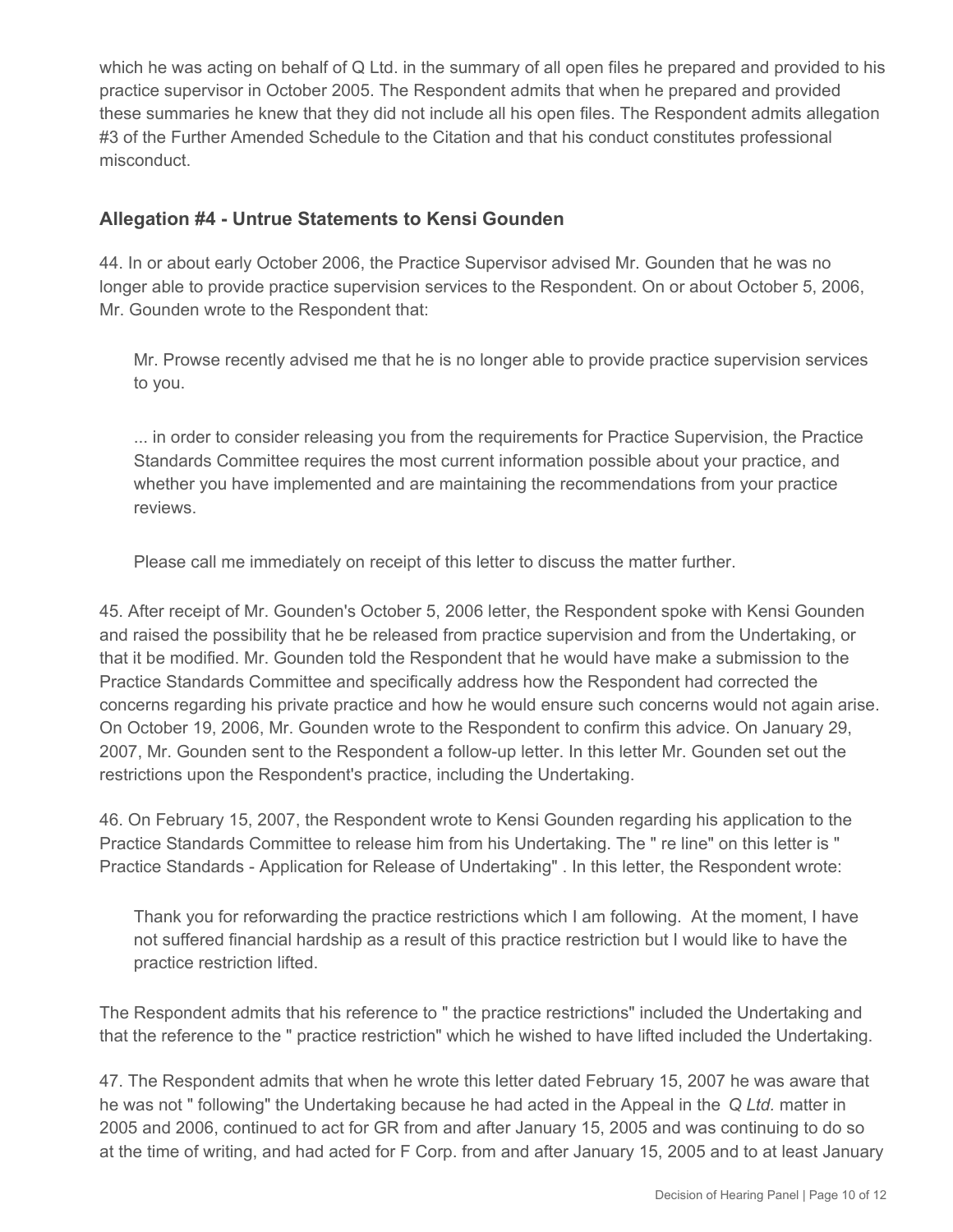which he was acting on behalf of Q Ltd. in the summary of all open files he prepared and provided to his practice supervisor in October 2005. The Respondent admits that when he prepared and provided these summaries he knew that they did not include all his open files. The Respondent admits allegation #3 of the Further Amended Schedule to the Citation and that his conduct constitutes professional misconduct.

### **Allegation #4 - Untrue Statements to Kensi Gounden**

44. In or about early October 2006, the Practice Supervisor advised Mr. Gounden that he was no longer able to provide practice supervision services to the Respondent. On or about October 5, 2006, Mr. Gounden wrote to the Respondent that:

Mr. Prowse recently advised me that he is no longer able to provide practice supervision services to you.

... in order to consider releasing you from the requirements for Practice Supervision, the Practice Standards Committee requires the most current information possible about your practice, and whether you have implemented and are maintaining the recommendations from your practice reviews.

Please call me immediately on receipt of this letter to discuss the matter further.

45. After receipt of Mr. Gounden's October 5, 2006 letter, the Respondent spoke with Kensi Gounden and raised the possibility that he be released from practice supervision and from the Undertaking, or that it be modified. Mr. Gounden told the Respondent that he would have make a submission to the Practice Standards Committee and specifically address how the Respondent had corrected the concerns regarding his private practice and how he would ensure such concerns would not again arise. On October 19, 2006, Mr. Gounden wrote to the Respondent to confirm this advice. On January 29, 2007, Mr. Gounden sent to the Respondent a follow-up letter. In this letter Mr. Gounden set out the restrictions upon the Respondent's practice, including the Undertaking.

46. On February 15, 2007, the Respondent wrote to Kensi Gounden regarding his application to the Practice Standards Committee to release him from his Undertaking. The " re line" on this letter is " Practice Standards - Application for Release of Undertaking" . In this letter, the Respondent wrote:

Thank you for reforwarding the practice restrictions which I am following. At the moment, I have not suffered financial hardship as a result of this practice restriction but I would like to have the practice restriction lifted.

The Respondent admits that his reference to " the practice restrictions" included the Undertaking and that the reference to the " practice restriction" which he wished to have lifted included the Undertaking.

47. The Respondent admits that when he wrote this letter dated February 15, 2007 he was aware that he was not " following" the Undertaking because he had acted in the Appeal in the *Q Ltd.* matter in 2005 and 2006, continued to act for GR from and after January 15, 2005 and was continuing to do so at the time of writing, and had acted for F Corp. from and after January 15, 2005 and to at least January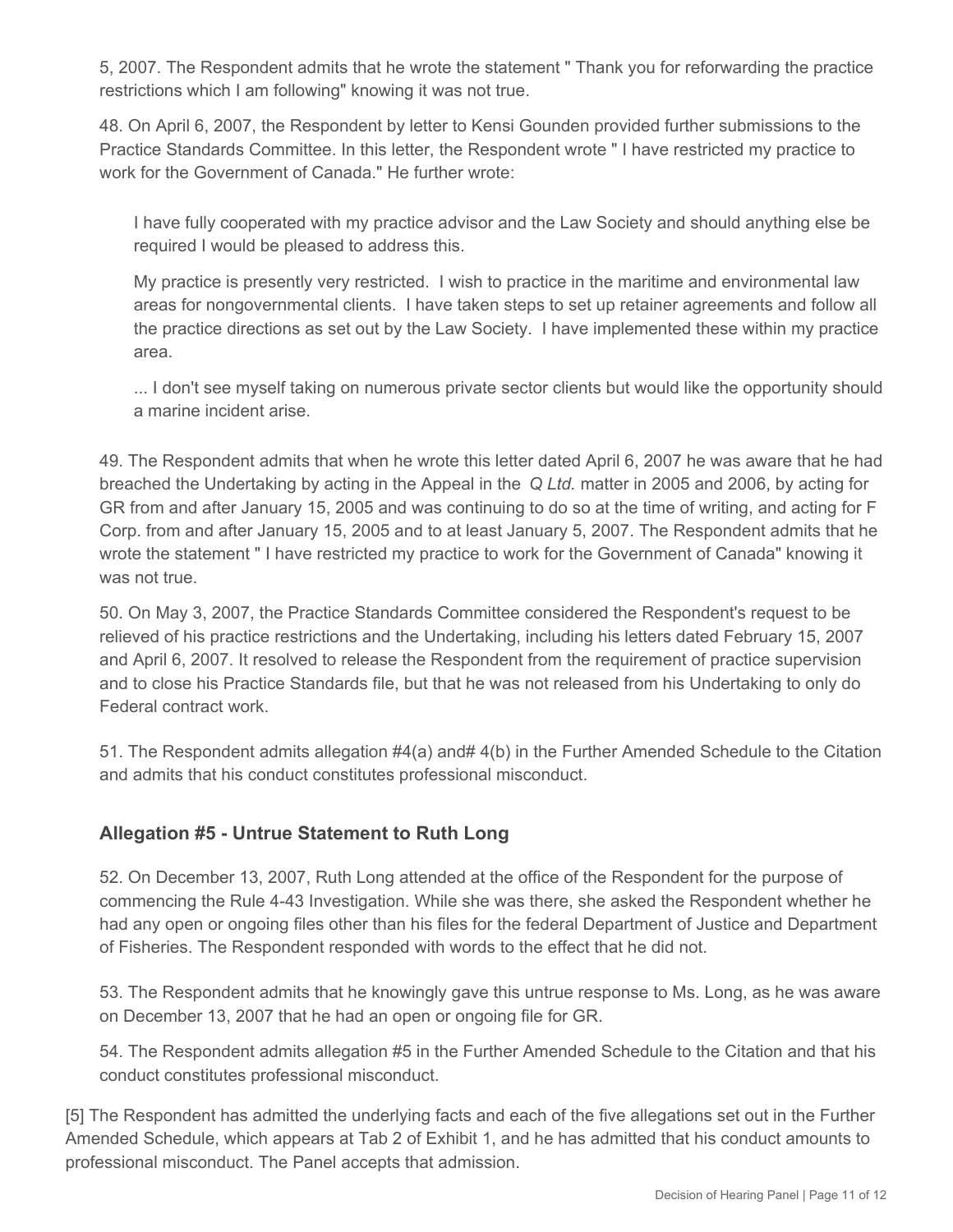5, 2007. The Respondent admits that he wrote the statement " Thank you for reforwarding the practice restrictions which I am following" knowing it was not true.

48. On April 6, 2007, the Respondent by letter to Kensi Gounden provided further submissions to the Practice Standards Committee. In this letter, the Respondent wrote " I have restricted my practice to work for the Government of Canada." He further wrote:

I have fully cooperated with my practice advisor and the Law Society and should anything else be required I would be pleased to address this.

My practice is presently very restricted. I wish to practice in the maritime and environmental law areas for nongovernmental clients. I have taken steps to set up retainer agreements and follow all the practice directions as set out by the Law Society. I have implemented these within my practice area.

... I don't see myself taking on numerous private sector clients but would like the opportunity should a marine incident arise.

49. The Respondent admits that when he wrote this letter dated April 6, 2007 he was aware that he had breached the Undertaking by acting in the Appeal in the *Q Ltd.* matter in 2005 and 2006, by acting for GR from and after January 15, 2005 and was continuing to do so at the time of writing, and acting for F Corp. from and after January 15, 2005 and to at least January 5, 2007. The Respondent admits that he wrote the statement " I have restricted my practice to work for the Government of Canada" knowing it was not true.

50. On May 3, 2007, the Practice Standards Committee considered the Respondent's request to be relieved of his practice restrictions and the Undertaking, including his letters dated February 15, 2007 and April 6, 2007. It resolved to release the Respondent from the requirement of practice supervision and to close his Practice Standards file, but that he was not released from his Undertaking to only do Federal contract work.

51. The Respondent admits allegation #4(a) and# 4(b) in the Further Amended Schedule to the Citation and admits that his conduct constitutes professional misconduct.

## **Allegation #5 - Untrue Statement to Ruth Long**

52. On December 13, 2007, Ruth Long attended at the office of the Respondent for the purpose of commencing the Rule 4-43 Investigation. While she was there, she asked the Respondent whether he had any open or ongoing files other than his files for the federal Department of Justice and Department of Fisheries. The Respondent responded with words to the effect that he did not.

53. The Respondent admits that he knowingly gave this untrue response to Ms. Long, as he was aware on December 13, 2007 that he had an open or ongoing file for GR.

54. The Respondent admits allegation #5 in the Further Amended Schedule to the Citation and that his conduct constitutes professional misconduct.

[5] The Respondent has admitted the underlying facts and each of the five allegations set out in the Further Amended Schedule, which appears at Tab 2 of Exhibit 1, and he has admitted that his conduct amounts to professional misconduct. The Panel accepts that admission.